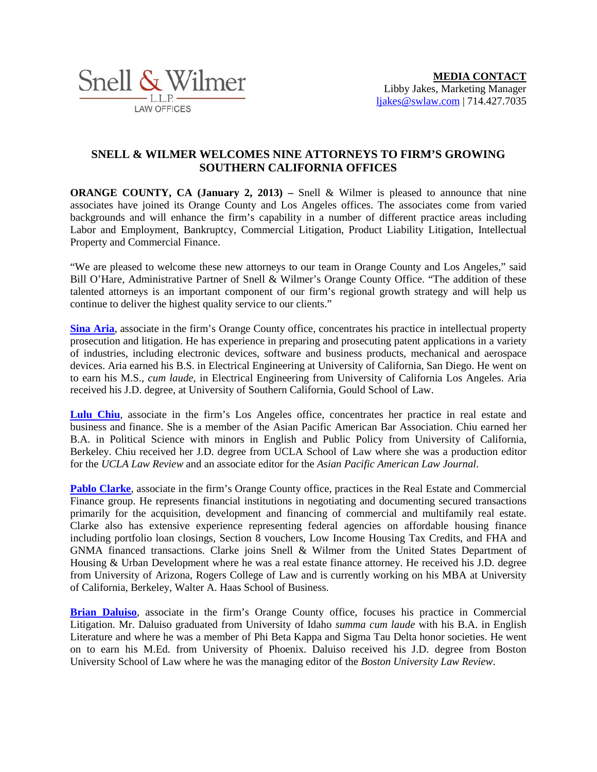

## **SNELL & WILMER WELCOMES NINE ATTORNEYS TO FIRM'S GROWING SOUTHERN CALIFORNIA OFFICES**

**ORANGE COUNTY, CA (January 2, 2013)** – Snell & Wilmer is pleased to announce that nine associates have joined its Orange County and Los Angeles offices. The associates come from varied backgrounds and will enhance the firm's capability in a number of different practice areas including Labor and Employment, Bankruptcy, Commercial Litigation, Product Liability Litigation, Intellectual Property and Commercial Finance.

"We are pleased to welcome these new attorneys to our team in Orange County and Los Angeles," said Bill O'Hare, Administrative Partner of Snell & Wilmer's Orange County Office. "The addition of these talented attorneys is an important component of our firm's regional growth strategy and will help us continue to deliver the highest quality service to our clients."

**[Sina Aria](http://www.swlaw.com/attorneys/sina_aria)**, associate in the firm's Orange County office, concentrates his practice in intellectual property prosecution and litigation. He has experience in preparing and prosecuting patent applications in a variety of industries, including electronic devices, software and business products, mechanical and aerospace devices. Aria earned his B.S. in Electrical Engineering at University of California, San Diego. He went on to earn his M.S., *cum laude*, in Electrical Engineering from University of California Los Angeles. Aria received his J.D. degree, at University of Southern California, Gould School of Law.

[Lulu Chiu](http://www.swlaw.com/attorneys/lulu_chiu), associate in the firm's Los Angeles office, concentrates her practice in real estate and business and finance. She is a member of the Asian Pacific American Bar Association. Chiu earned her B.A. in Political Science with minors in English and Public Policy from University of California, Berkeley. Chiu received her J.D. degree from UCLA School of Law where she was a production editor for the *UCLA Law Review* and an associate editor for the *Asian Pacific American Law Journal*.

**[Pablo Clarke](http://www.swlaw.com/attorneys/pablo_clarke)**, associate in the firm's Orange County office, practices in the Real Estate and Commercial Finance group. He represents financial institutions in negotiating and documenting secured transactions primarily for the acquisition, development and financing of commercial and multifamily real estate. Clarke also has extensive experience representing federal agencies on affordable housing finance including portfolio loan closings, Section 8 vouchers, Low Income Housing Tax Credits, and FHA and GNMA financed transactions. Clarke joins Snell & Wilmer from the United States Department of Housing & Urban Development where he was a real estate finance attorney. He received his J.D. degree from University of Arizona, Rogers College of Law and is currently working on his MBA at University of California, Berkeley, Walter A. Haas School of Business.

**[Brian Daluiso](http://www.swlaw.com/attorneys/brian_daluiso)**, associate in the firm's Orange County office, focuses his practice in Commercial Litigation. Mr. Daluiso graduated from University of Idaho *summa cum laude* with his B.A. in English Literature and where he was a member of Phi Beta Kappa and Sigma Tau Delta honor societies. He went on to earn his M.Ed. from University of Phoenix. Daluiso received his J.D. degree from Boston University School of Law where he was the managing editor of the *Boston University Law Review*.